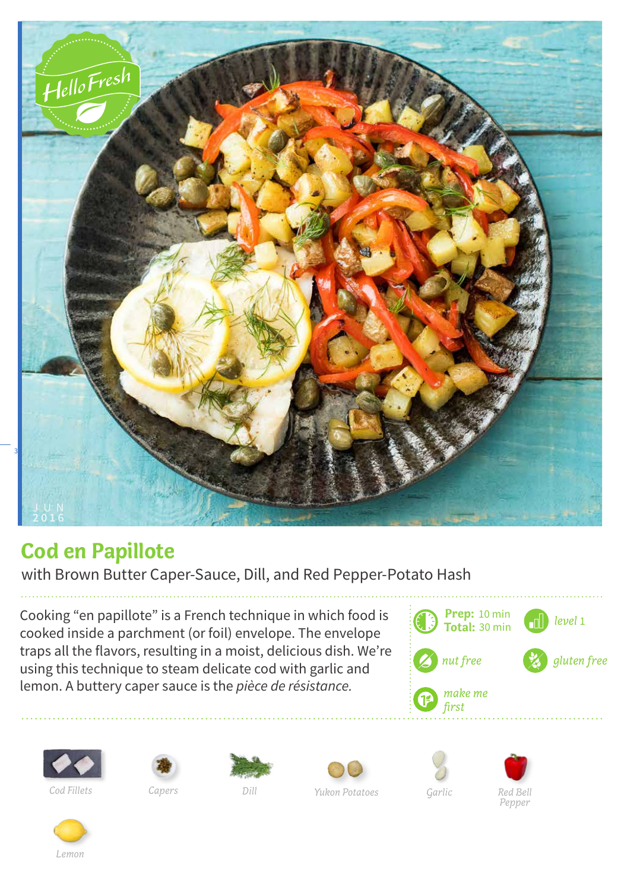

## **Cod en Papillote**

with Brown Butter Caper-Sauce, Dill, and Red Pepper-Potato Hash

Cooking "en papillote" is a French technique in which food is cooked inside a parchment (or foil) envelope. The envelope traps all the flavors, resulting in a moist, delicious dish. We're using this technique to steam delicate cod with garlic and lemon. A buttery caper sauce is the *pièce de résistance.* 

















*Dill*